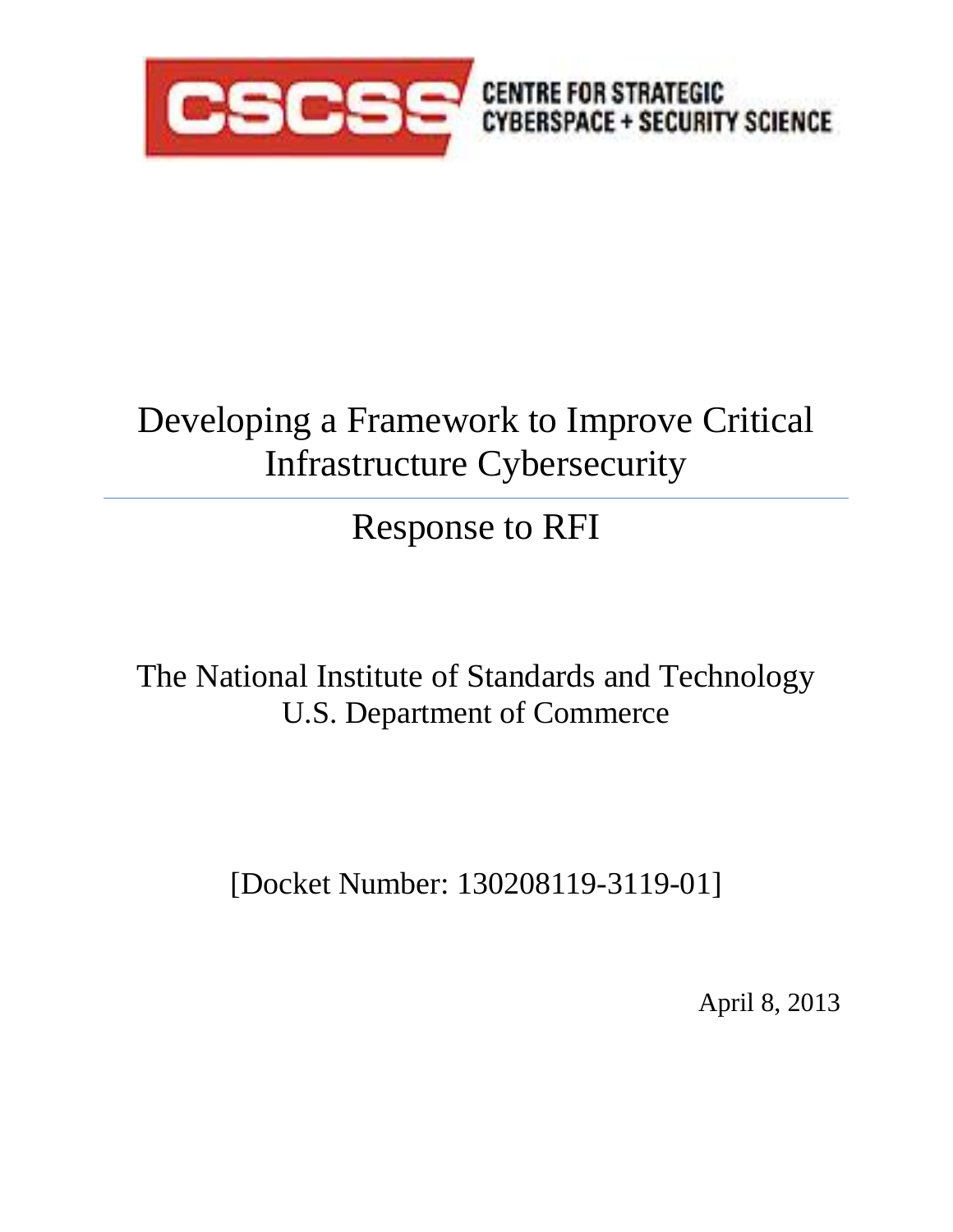

# Developing a Framework to Improve Critical Infrastructure Cybersecurity

# Response to RFI

The National Institute of Standards and Technology U.S. Department of Commerce

[Docket Number: 130208119-3119-01]

April 8, 2013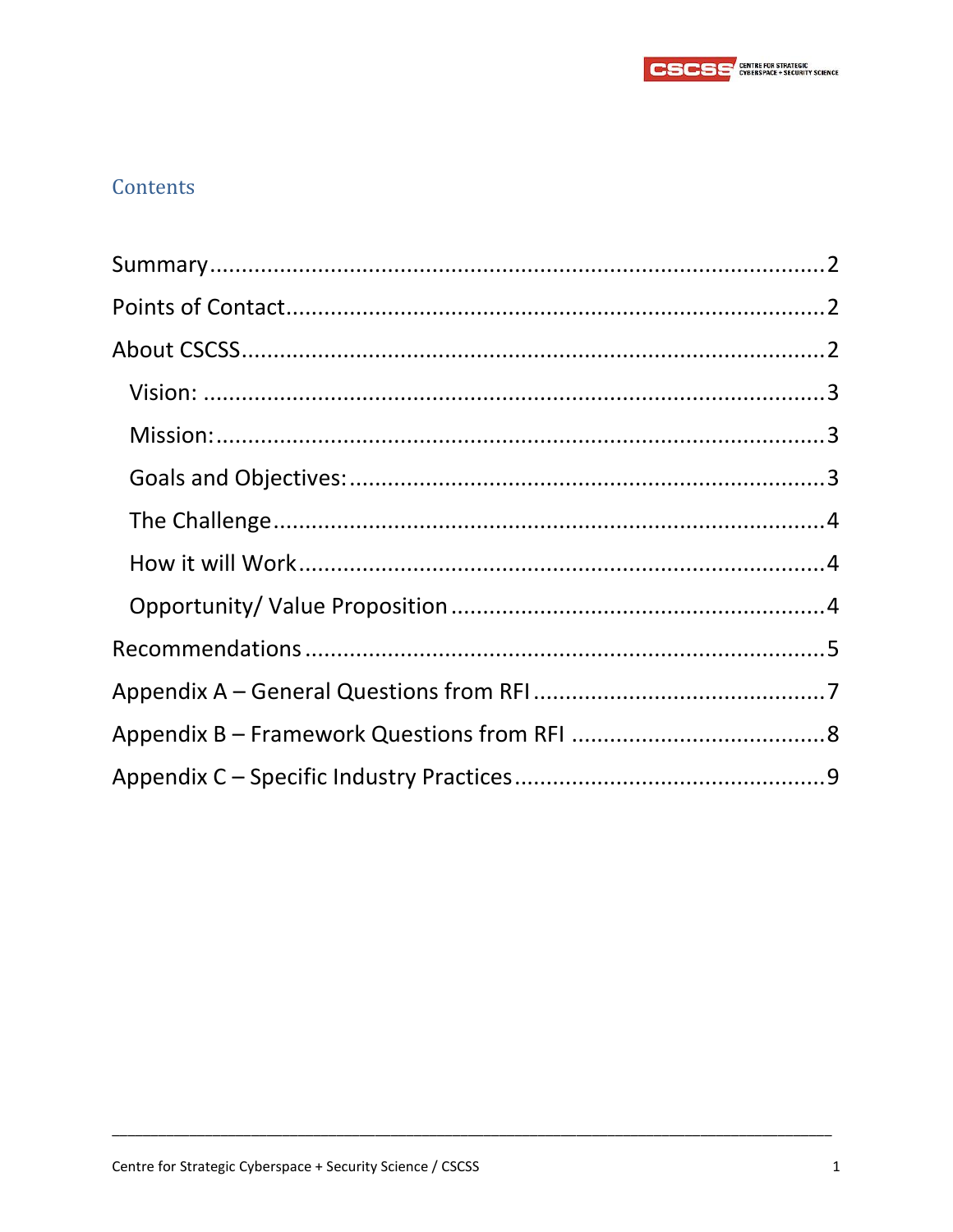

## Contents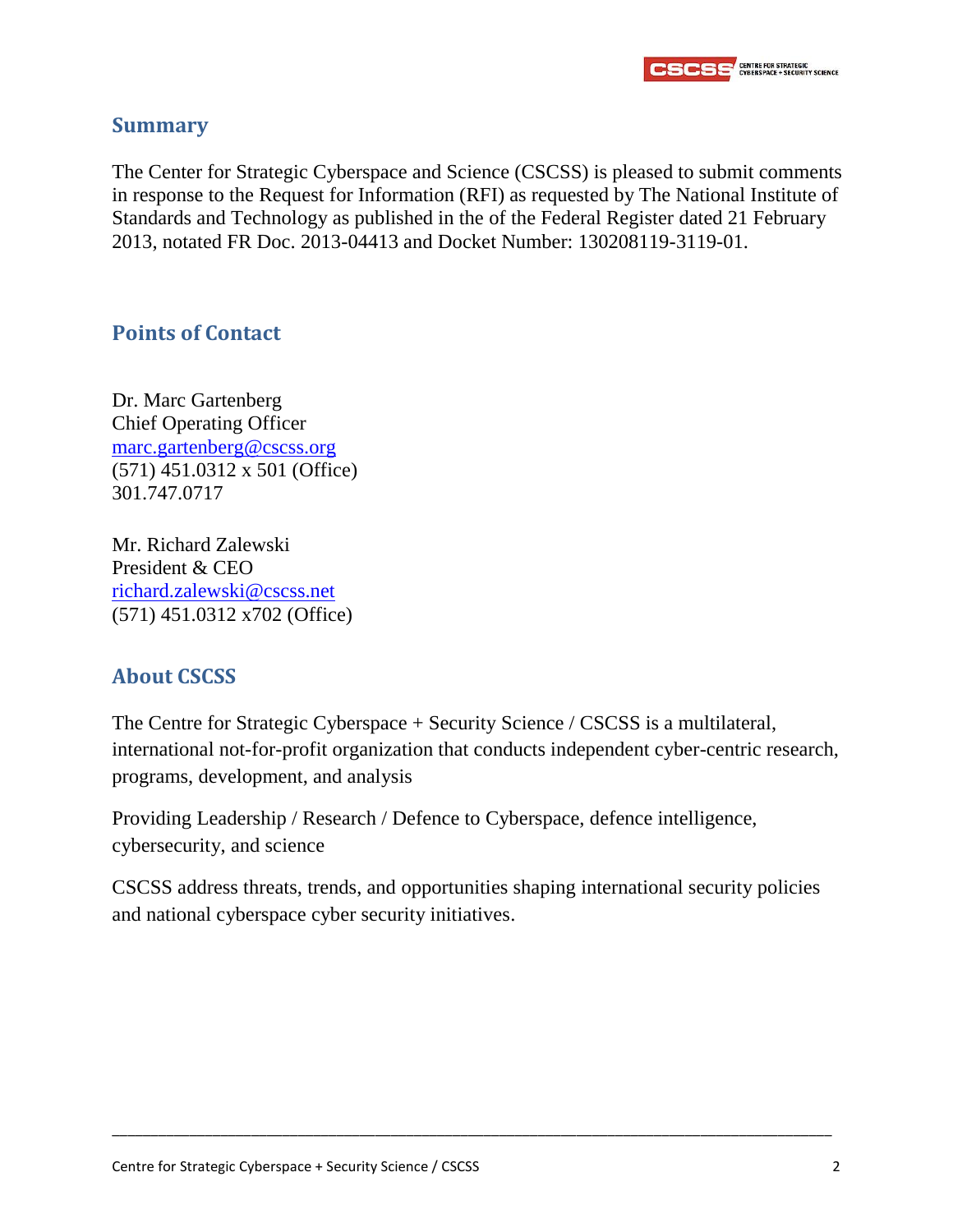

#### <span id="page-2-0"></span>**Summary**

The Center for Strategic Cyberspace and Science (CSCSS) is pleased to submit comments in response to the Request for Information (RFI) as requested by The National Institute of Standards and Technology as published in the of the Federal Register dated 21 February 2013, notated FR Doc. 2013-04413 and Docket Number: 130208119-3119-01.

#### <span id="page-2-1"></span>**Points of Contact**

Dr. Marc Gartenberg Chief Operating Officer [marc.gartenberg@cscss.org](mailto:marc.gartenberg@cscss.org) (571) 451.0312 x 501 (Office) 301.747.0717

Mr. Richard Zalewski President & CEO [richard.zalewski@cscss.net](mailto:richard.zalewski@cscss.net) (571) 451.0312 x702 (Office)

#### <span id="page-2-2"></span>**About CSCSS**

The Centre for Strategic Cyberspace + Security Science / CSCSS is a multilateral, international not-for-profit organization that conducts independent cyber-centric research, programs, development, and analysis

Providing Leadership / Research / Defence to Cyberspace, defence intelligence, cybersecurity, and science

CSCSS address threats, trends, and opportunities shaping international security policies and national cyberspace cyber security initiatives.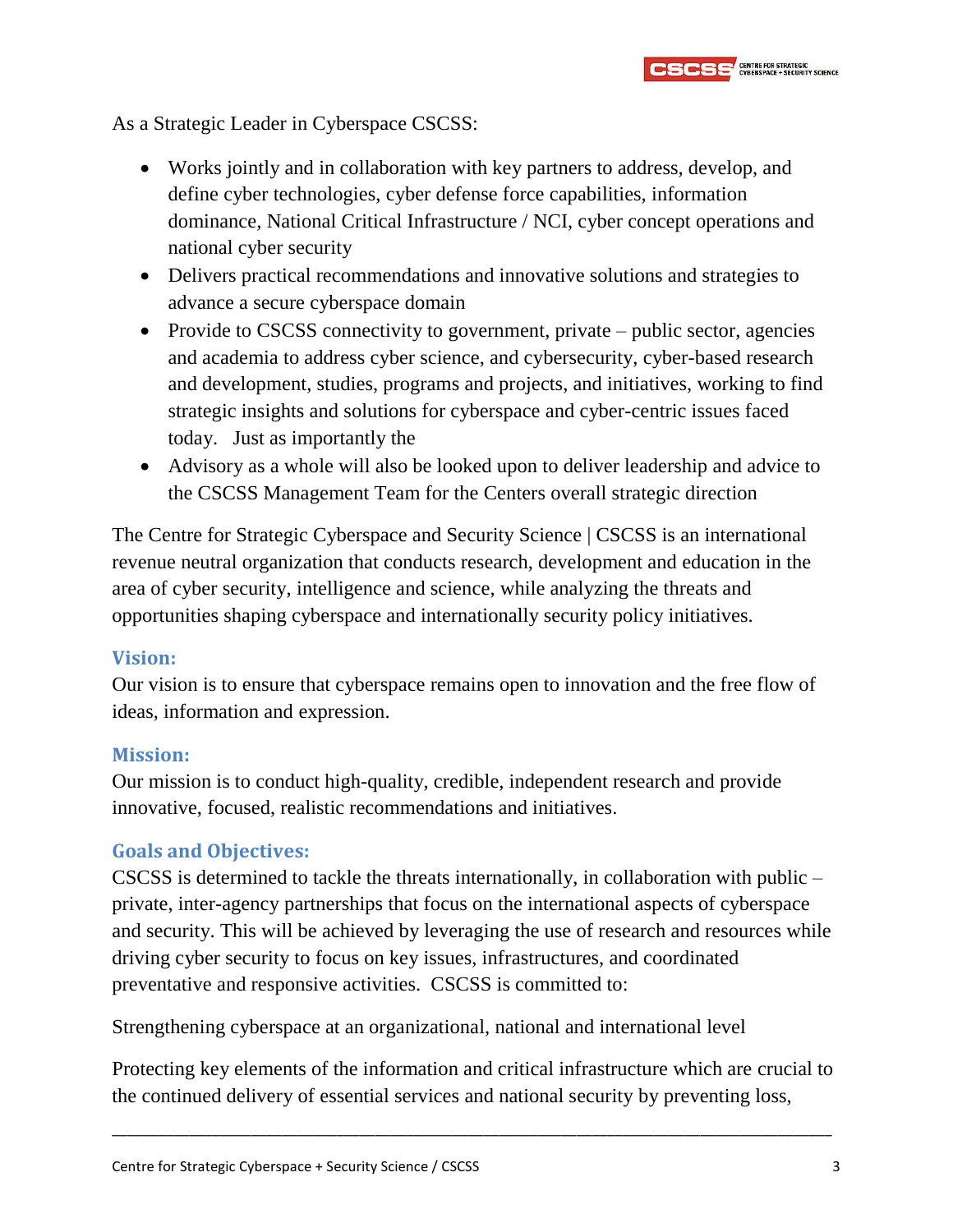As a Strategic Leader in Cyberspace CSCSS:

- Works jointly and in collaboration with key partners to address, develop, and define cyber technologies, cyber defense force capabilities, information dominance, National Critical Infrastructure / NCI, cyber concept operations and national cyber security
- Delivers practical recommendations and innovative solutions and strategies to advance a secure cyberspace domain
- Provide to CSCSS connectivity to government, private public sector, agencies and academia to address cyber science, and cybersecurity, cyber-based research and development, studies, programs and projects, and initiatives, working to find strategic insights and solutions for cyberspace and cyber-centric issues faced today. Just as importantly the
- Advisory as a whole will also be looked upon to deliver leadership and advice to the CSCSS Management Team for the Centers overall strategic direction

The Centre for Strategic Cyberspace and Security Science | CSCSS is an international revenue neutral organization that conducts research, development and education in the area of cyber security, intelligence and science, while analyzing the threats and opportunities shaping cyberspace and internationally security policy initiatives.

#### <span id="page-3-0"></span>**Vision:**

Our vision is to ensure that cyberspace remains open to innovation and the free flow of ideas, information and expression.

#### <span id="page-3-1"></span>**Mission:**

Our mission is to conduct high-quality, credible, independent research and provide innovative, focused, realistic recommendations and initiatives.

#### <span id="page-3-2"></span>**Goals and Objectives:**

CSCSS is determined to tackle the threats internationally, in collaboration with public – private, inter-agency partnerships that focus on the international aspects of cyberspace and security. This will be achieved by leveraging the use of research and resources while driving cyber security to focus on key issues, infrastructures, and coordinated preventative and responsive activities. CSCSS is committed to:

Strengthening cyberspace at an organizational, national and international level

Protecting key elements of the information and critical infrastructure which are crucial to the continued delivery of essential services and national security by preventing loss,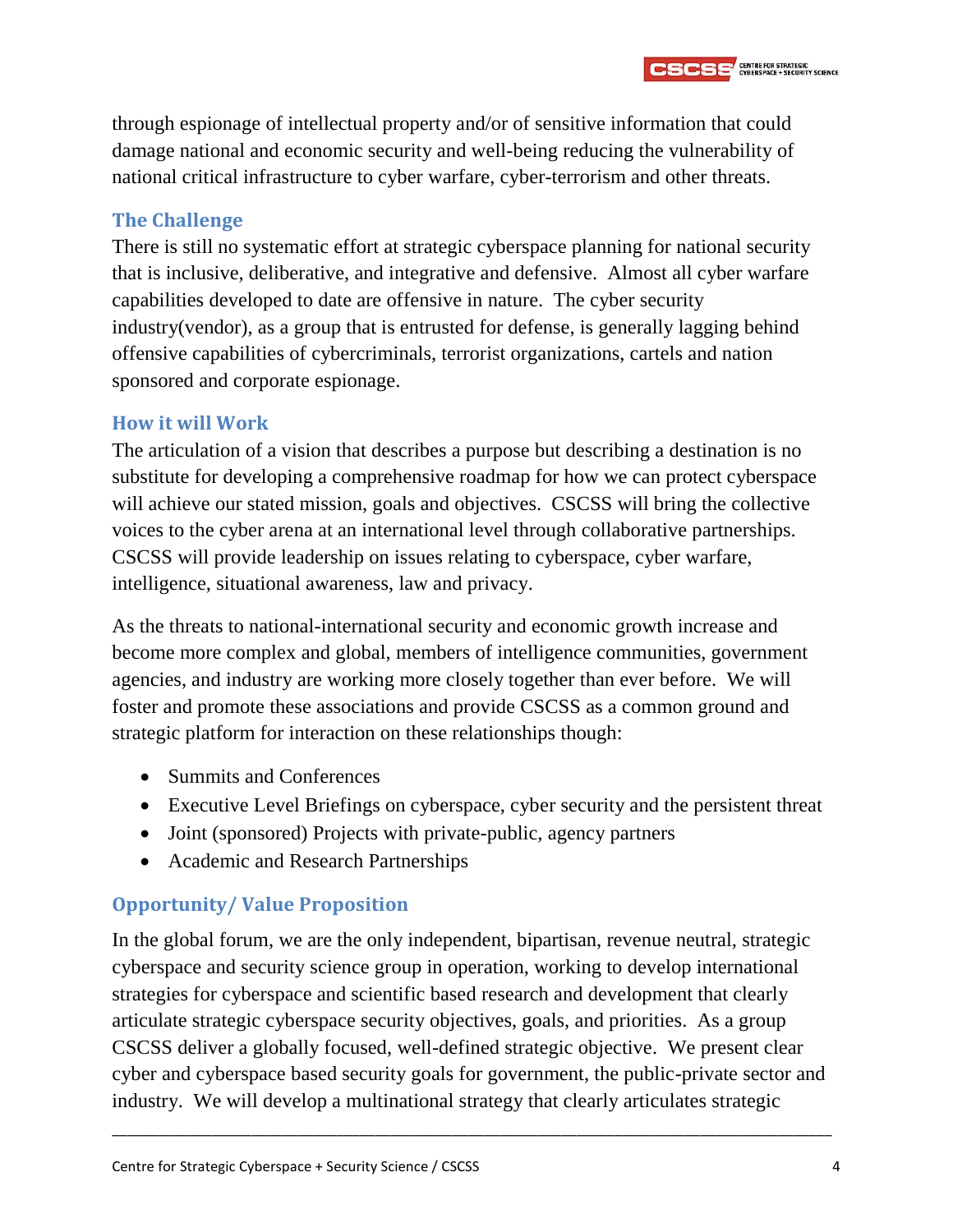through espionage of intellectual property and/or of sensitive information that could damage national and economic security and well-being reducing the vulnerability of national critical infrastructure to cyber warfare, cyber-terrorism and other threats.

**CSCSS** ENTRE FOR STRATEGIC

#### <span id="page-4-0"></span>**The Challenge**

There is still no systematic effort at strategic cyberspace planning for national security that is inclusive, deliberative, and integrative and defensive. Almost all cyber warfare capabilities developed to date are offensive in nature. The cyber security industry(vendor), as a group that is entrusted for defense, is generally lagging behind offensive capabilities of cybercriminals, terrorist organizations, cartels and nation sponsored and corporate espionage.

#### <span id="page-4-1"></span>**How it will Work**

The articulation of a vision that describes a purpose but describing a destination is no substitute for developing a comprehensive roadmap for how we can protect cyberspace will achieve our stated mission, goals and objectives. CSCSS will bring the collective voices to the cyber arena at an international level through collaborative partnerships. CSCSS will provide leadership on issues relating to cyberspace, cyber warfare, intelligence, situational awareness, law and privacy.

As the threats to national-international security and economic growth increase and become more complex and global, members of intelligence communities, government agencies, and industry are working more closely together than ever before. We will foster and promote these associations and provide CSCSS as a common ground and strategic platform for interaction on these relationships though:

- Summits and Conferences
- Executive Level Briefings on cyberspace, cyber security and the persistent threat
- Joint (sponsored) Projects with private-public, agency partners
- Academic and Research Partnerships

### <span id="page-4-2"></span>**Opportunity/ Value Proposition**

In the global forum, we are the only independent, bipartisan, revenue neutral, strategic cyberspace and security science group in operation, working to develop international strategies for cyberspace and scientific based research and development that clearly articulate strategic cyberspace security objectives, goals, and priorities. As a group CSCSS deliver a globally focused, well-defined strategic objective. We present clear cyber and cyberspace based security goals for government, the public-private sector and industry. We will develop a multinational strategy that clearly articulates strategic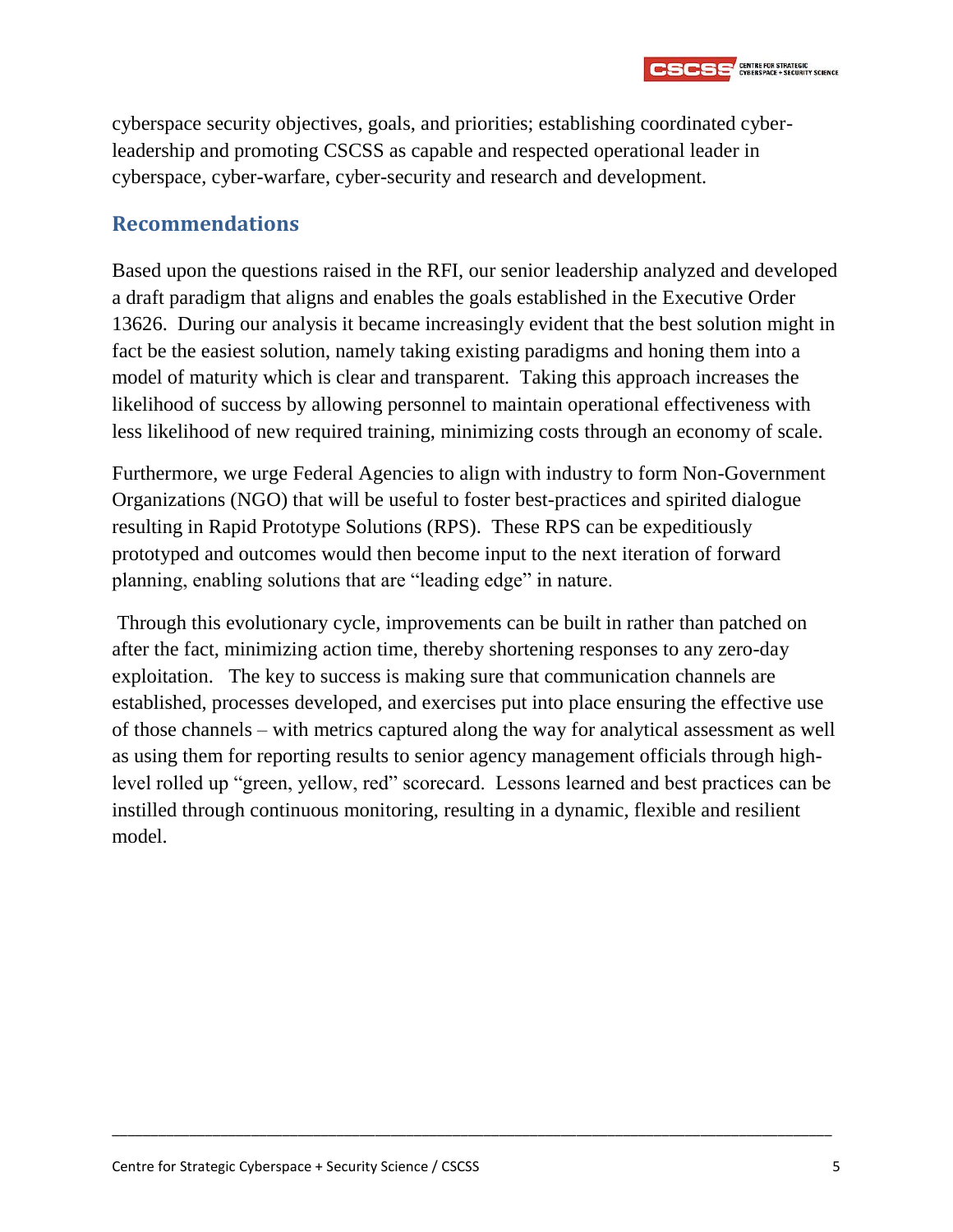

cyberspace security objectives, goals, and priorities; establishing coordinated cyberleadership and promoting CSCSS as capable and respected operational leader in cyberspace, cyber-warfare, cyber-security and research and development.

#### <span id="page-5-0"></span>**Recommendations**

Based upon the questions raised in the RFI, our senior leadership analyzed and developed a draft paradigm that aligns and enables the goals established in the Executive Order 13626. During our analysis it became increasingly evident that the best solution might in fact be the easiest solution, namely taking existing paradigms and honing them into a model of maturity which is clear and transparent. Taking this approach increases the likelihood of success by allowing personnel to maintain operational effectiveness with less likelihood of new required training, minimizing costs through an economy of scale.

Furthermore, we urge Federal Agencies to align with industry to form Non-Government Organizations (NGO) that will be useful to foster best-practices and spirited dialogue resulting in Rapid Prototype Solutions (RPS). These RPS can be expeditiously prototyped and outcomes would then become input to the next iteration of forward planning, enabling solutions that are "leading edge" in nature.

Through this evolutionary cycle, improvements can be built in rather than patched on after the fact, minimizing action time, thereby shortening responses to any zero-day exploitation. The key to success is making sure that communication channels are established, processes developed, and exercises put into place ensuring the effective use of those channels – with metrics captured along the way for analytical assessment as well as using them for reporting results to senior agency management officials through highlevel rolled up "green, yellow, red" scorecard. Lessons learned and best practices can be instilled through continuous monitoring, resulting in a dynamic, flexible and resilient model.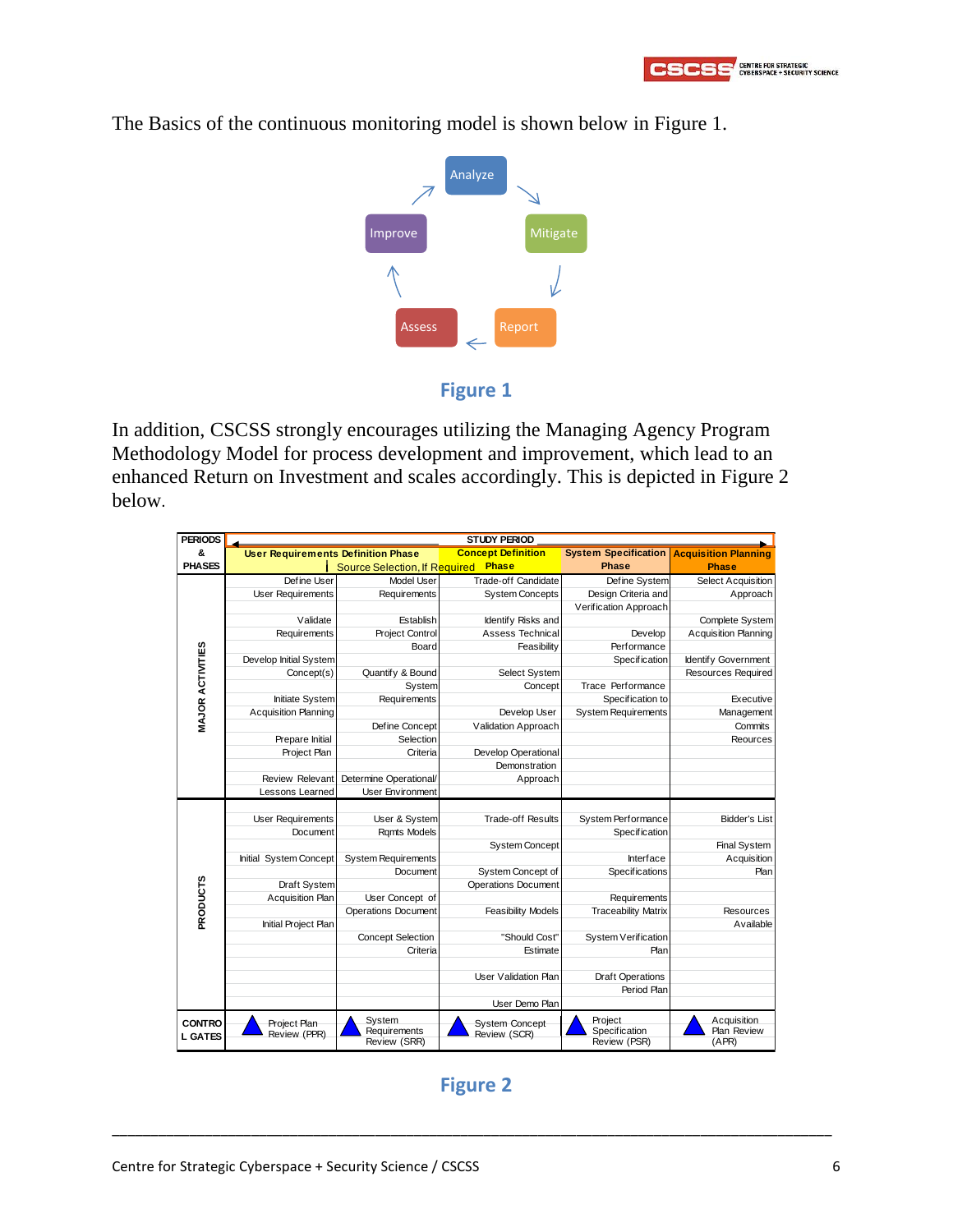

The Basics of the continuous monitoring model is shown below in Figure 1.





In addition, CSCSS strongly encourages utilizing the Managing Agency Program Methodology Model for process development and improvement, which lead to an enhanced Return on Investment and scales accordingly. This is depicted in Figure 2 below.

| <b>PERIODS</b>          | <b>STUDY PERIOD</b>                       |                               |                             |                               |                             |  |
|-------------------------|-------------------------------------------|-------------------------------|-----------------------------|-------------------------------|-----------------------------|--|
| &                       | <b>User Requirements Definition Phase</b> |                               | <b>Concept Definition</b>   | <b>System Specification</b>   | <b>Acquisition Planning</b> |  |
| <b>PHASES</b>           |                                           | Source Selection, If Required | <b>Phase</b>                | <b>Phase</b>                  | <b>Phase</b>                |  |
| <b>MAJOR ACTIVITIES</b> | Define User                               | Model User                    | Trade-off Candidate         | Define System                 | <b>Select Acquisition</b>   |  |
|                         | <b>User Requirements</b>                  | Requirements                  | <b>System Concepts</b>      | Design Criteria and           | Approach                    |  |
|                         |                                           |                               |                             | Verification Approach         |                             |  |
|                         | Validate                                  | Establish                     | Identify Risks and          |                               | Complete System             |  |
|                         | Requirements                              | <b>Project Control</b>        | Assess Technical            | Develop                       | <b>Acquisition Planning</b> |  |
|                         |                                           | Board                         | Feasibility                 | Performance                   |                             |  |
|                         | Develop Initial System                    |                               |                             | Specification                 | Identify Government         |  |
|                         | Concept(s)                                | Quantify & Bound              | Select System               |                               | Resources Required          |  |
|                         |                                           | System                        | Concept                     | Trace Performance             |                             |  |
|                         | Initiate System                           | Requirements                  |                             | Specification to              | Executive                   |  |
|                         | <b>Acquisition Planning</b>               |                               | Develop User                | <b>System Requirements</b>    | Management                  |  |
|                         |                                           | Define Concept                | Validation Approach         |                               | Commits                     |  |
|                         | Prepare Initial                           | Selection                     |                             |                               | Reources                    |  |
|                         | Project Plan                              | Criteria                      | Develop Operational         |                               |                             |  |
|                         |                                           |                               | Demonstration               |                               |                             |  |
|                         | <b>Review Relevant</b>                    | Determine Operational/        | Approach                    |                               |                             |  |
|                         | Lessons Learned                           | <b>User Environment</b>       |                             |                               |                             |  |
| <b>PRODUCTS</b>         |                                           |                               |                             |                               |                             |  |
|                         | <b>User Requirements</b>                  | User & System                 | <b>Trade-off Results</b>    | System Performance            | <b>Bidder's List</b>        |  |
|                         | Document                                  | <b>Ramts Models</b>           |                             | Specification                 |                             |  |
|                         |                                           |                               | <b>System Concept</b>       |                               | Final System                |  |
|                         | Initial System Concept                    | <b>System Requirements</b>    |                             | Interface                     | Acquisition                 |  |
|                         |                                           | Document                      | System Concept of           | Specifications                | Plan                        |  |
|                         | Draft System                              |                               | <b>Operations Document</b>  |                               |                             |  |
|                         | <b>Acquisition Plan</b>                   | User Concept of               |                             | Requirements                  |                             |  |
|                         |                                           | <b>Operations Document</b>    | <b>Feasibility Models</b>   | <b>Traceability Matrix</b>    | <b>Resources</b>            |  |
|                         | Initial Project Plan                      |                               |                             |                               | Available                   |  |
|                         |                                           | <b>Concept Selection</b>      | "Should Cost"               | System Verification           |                             |  |
|                         |                                           | Criteria                      | Estimate                    | Plan                          |                             |  |
|                         |                                           |                               | <b>User Validation Plan</b> |                               |                             |  |
|                         |                                           |                               |                             | <b>Draft Operations</b>       |                             |  |
|                         |                                           |                               | User Demo Plan              | Period Plan                   |                             |  |
|                         |                                           |                               |                             |                               |                             |  |
|                         |                                           |                               |                             |                               |                             |  |
| <b>CONTRO</b>           | Project Plan                              | System                        | <b>System Concept</b>       | Project                       | Acquisition                 |  |
| <b>L GATES</b>          | Review (PPR)                              | Requirements<br>Review (SRR)  | Review (SCR)                | Specification<br>Review (PSR) | Plan Review<br>(APR)        |  |

#### **Figure 2**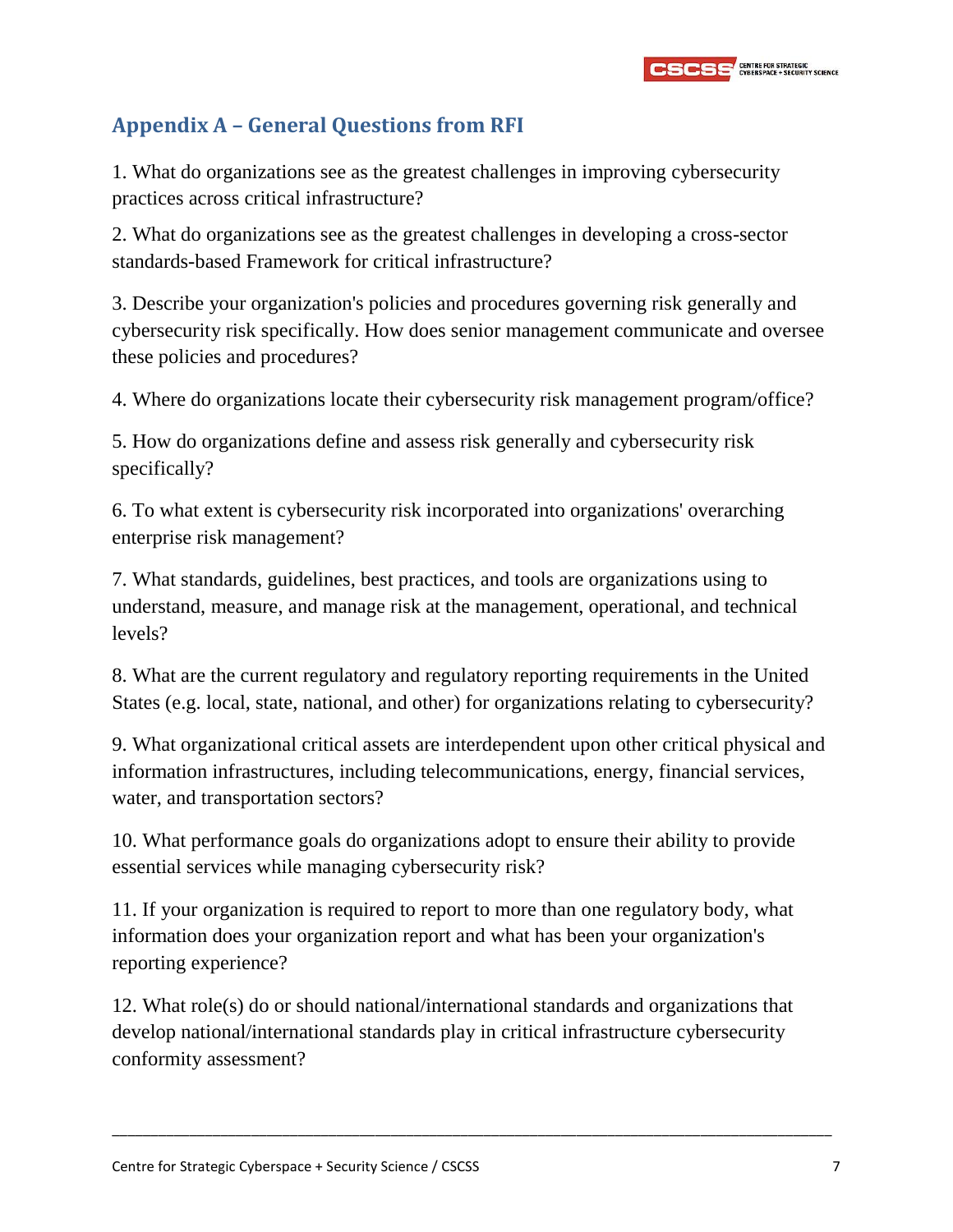## <span id="page-7-0"></span>**Appendix A – General Questions from RFI**

1. What do organizations see as the greatest challenges in improving cybersecurity practices across critical infrastructure?

2. What do organizations see as the greatest challenges in developing a cross-sector standards-based Framework for critical infrastructure?

3. Describe your organization's policies and procedures governing risk generally and cybersecurity risk specifically. How does senior management communicate and oversee these policies and procedures?

4. Where do organizations locate their cybersecurity risk management program/office?

5. How do organizations define and assess risk generally and cybersecurity risk specifically?

6. To what extent is cybersecurity risk incorporated into organizations' overarching enterprise risk management?

7. What standards, guidelines, best practices, and tools are organizations using to understand, measure, and manage risk at the management, operational, and technical levels?

8. What are the current regulatory and regulatory reporting requirements in the United States (e.g. local, state, national, and other) for organizations relating to cybersecurity?

9. What organizational critical assets are interdependent upon other critical physical and information infrastructures, including telecommunications, energy, financial services, water, and transportation sectors?

10. What performance goals do organizations adopt to ensure their ability to provide essential services while managing cybersecurity risk?

11. If your organization is required to report to more than one regulatory body, what information does your organization report and what has been your organization's reporting experience?

12. What role(s) do or should national/international standards and organizations that develop national/international standards play in critical infrastructure cybersecurity conformity assessment?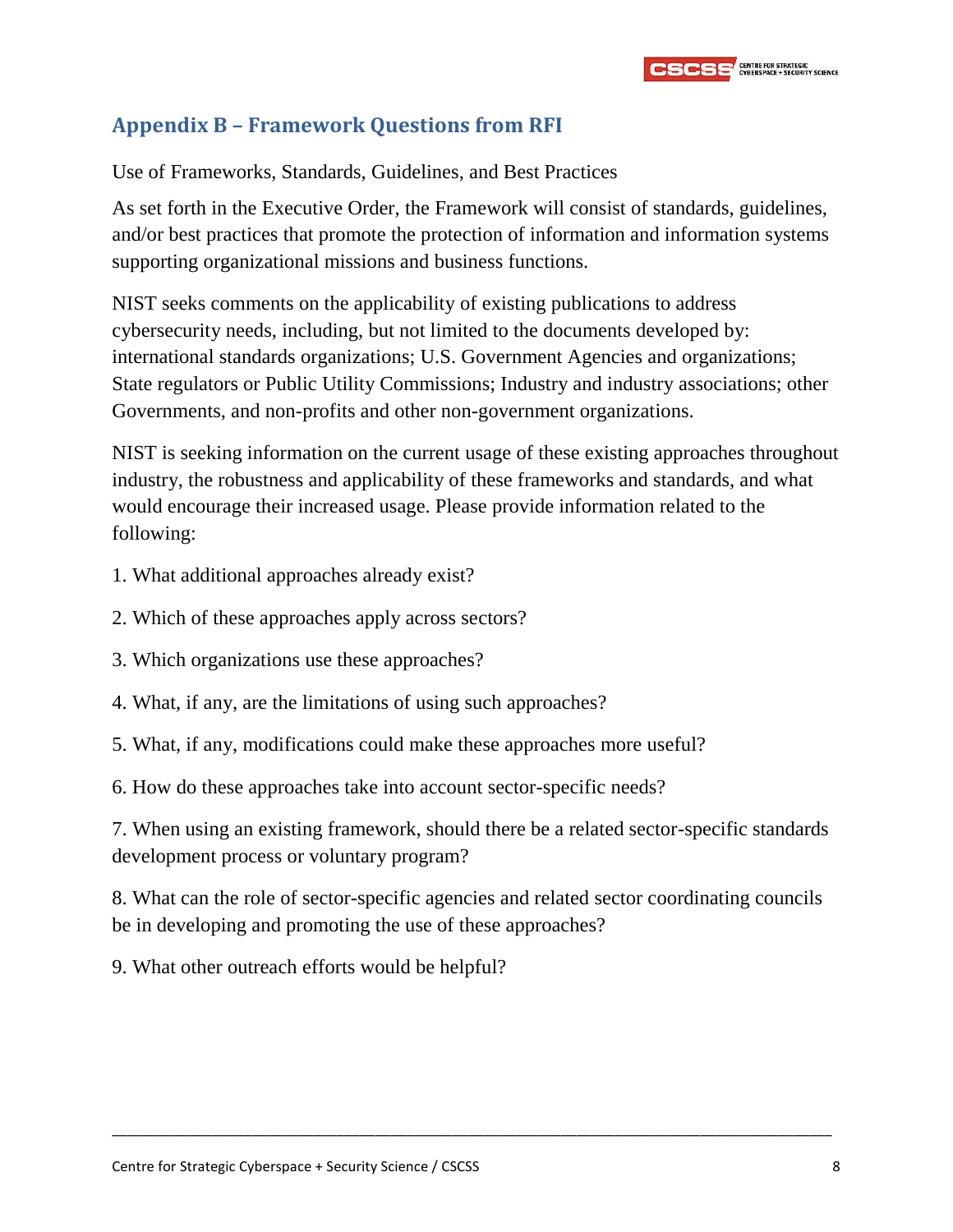

### <span id="page-8-0"></span>**Appendix B – Framework Questions from RFI**

Use of Frameworks, Standards, Guidelines, and Best Practices

As set forth in the Executive Order, the Framework will consist of standards, guidelines, and/or best practices that promote the protection of information and information systems supporting organizational missions and business functions.

NIST seeks comments on the applicability of existing publications to address cybersecurity needs, including, but not limited to the documents developed by: international standards organizations; U.S. Government Agencies and organizations; State regulators or Public Utility Commissions; Industry and industry associations; other Governments, and non-profits and other non-government organizations.

NIST is seeking information on the current usage of these existing approaches throughout industry, the robustness and applicability of these frameworks and standards, and what would encourage their increased usage. Please provide information related to the following:

- 1. What additional approaches already exist?
- 2. Which of these approaches apply across sectors?
- 3. Which organizations use these approaches?
- 4. What, if any, are the limitations of using such approaches?
- 5. What, if any, modifications could make these approaches more useful?
- 6. How do these approaches take into account sector-specific needs?

7. When using an existing framework, should there be a related sector-specific standards development process or voluntary program?

8. What can the role of sector-specific agencies and related sector coordinating councils be in developing and promoting the use of these approaches?

\_\_\_\_\_\_\_\_\_\_\_\_\_\_\_\_\_\_\_\_\_\_\_\_\_\_\_\_\_\_\_\_\_\_\_\_\_\_\_\_\_\_\_\_\_\_\_\_\_\_\_\_\_\_\_\_\_\_\_\_\_\_\_\_\_\_\_\_\_\_\_\_\_\_\_\_\_\_\_\_\_\_\_\_\_\_\_\_\_\_\_\_\_

9. What other outreach efforts would be helpful?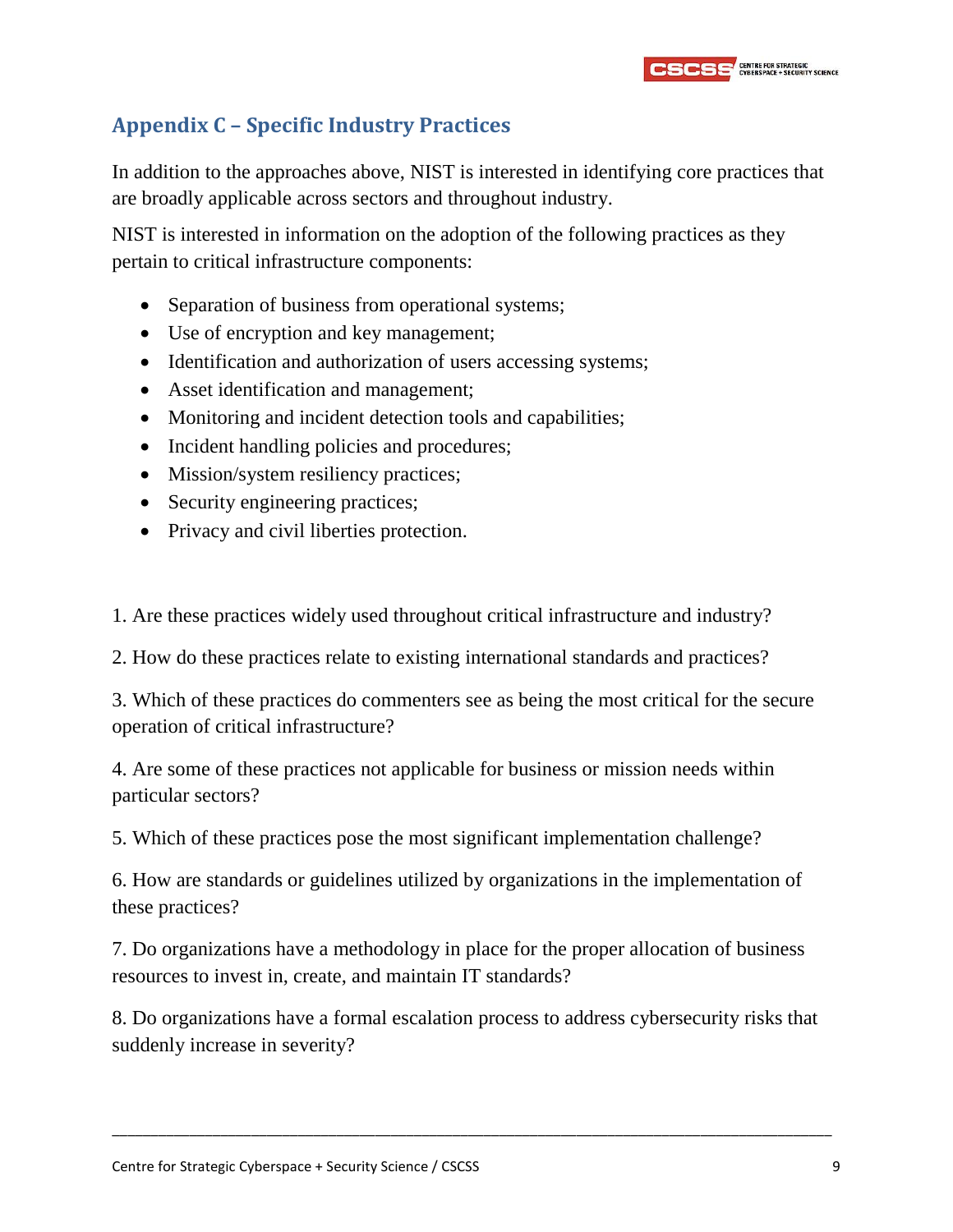## <span id="page-9-0"></span>**Appendix C – Specific Industry Practices**

In addition to the approaches above, NIST is interested in identifying core practices that are broadly applicable across sectors and throughout industry.

NIST is interested in information on the adoption of the following practices as they pertain to critical infrastructure components:

- Separation of business from operational systems;
- Use of encryption and key management;
- Identification and authorization of users accessing systems;
- Asset identification and management;
- Monitoring and incident detection tools and capabilities;
- Incident handling policies and procedures;
- Mission/system resiliency practices;
- Security engineering practices;
- Privacy and civil liberties protection.

1. Are these practices widely used throughout critical infrastructure and industry?

2. How do these practices relate to existing international standards and practices?

3. Which of these practices do commenters see as being the most critical for the secure operation of critical infrastructure?

4. Are some of these practices not applicable for business or mission needs within particular sectors?

5. Which of these practices pose the most significant implementation challenge?

6. How are standards or guidelines utilized by organizations in the implementation of these practices?

7. Do organizations have a methodology in place for the proper allocation of business resources to invest in, create, and maintain IT standards?

8. Do organizations have a formal escalation process to address cybersecurity risks that suddenly increase in severity?